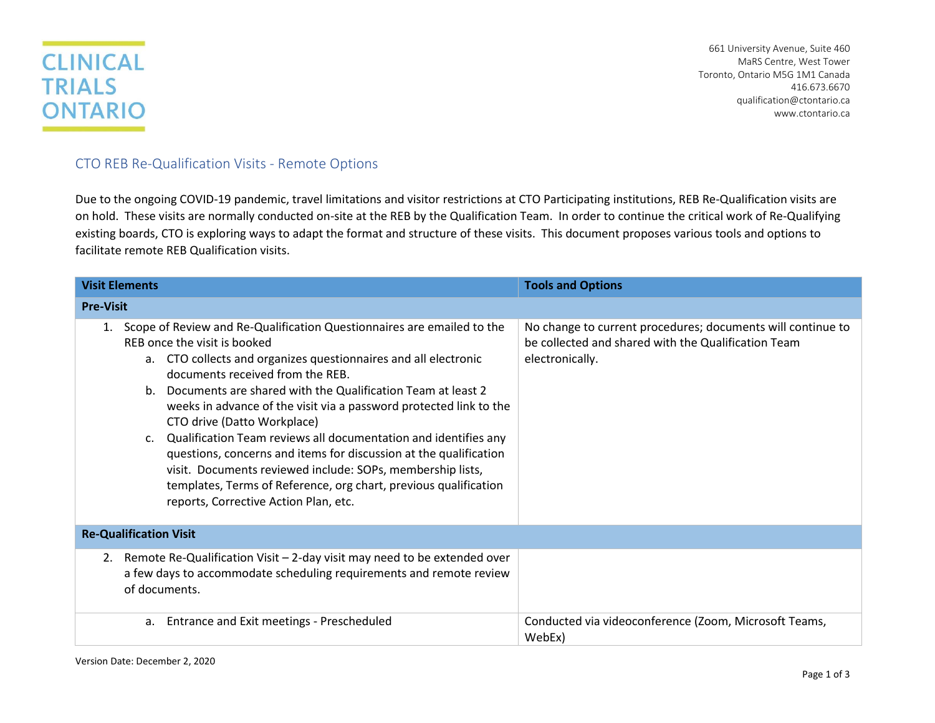## **CLINICAL TRIALS ONTARIO**

661 University Avenue, Suite 460 MaRS Centre, West Tower Toronto, Ontario M5G 1M1 Canada 416.673.6670 [qualification@ctontario.ca](mailto:qualification@ctontario.ca) www.ctontario.ca

## CTO REB Re-Qualification Visits - Remote Options

Due to the ongoing COVID-19 pandemic, travel limitations and visitor restrictions at CTO Participating institutions, REB Re-Qualification visits are on hold. These visits are normally conducted on-site at the REB by the Qualification Team. In order to continue the critical work of Re-Qualifying existing boards, CTO is exploring ways to adapt the format and structure of these visits. This document proposes various tools and options to facilitate remote REB Qualification visits.

| <b>Visit Elements</b>                                                                                                                                                                                                                                                                                                                                                                                                                                                                                                                                                                                                                                                                                                       | <b>Tools and Options</b>                                                                                                              |  |
|-----------------------------------------------------------------------------------------------------------------------------------------------------------------------------------------------------------------------------------------------------------------------------------------------------------------------------------------------------------------------------------------------------------------------------------------------------------------------------------------------------------------------------------------------------------------------------------------------------------------------------------------------------------------------------------------------------------------------------|---------------------------------------------------------------------------------------------------------------------------------------|--|
| <b>Pre-Visit</b>                                                                                                                                                                                                                                                                                                                                                                                                                                                                                                                                                                                                                                                                                                            |                                                                                                                                       |  |
| Scope of Review and Re-Qualification Questionnaires are emailed to the<br>1.<br>REB once the visit is booked<br>a. CTO collects and organizes questionnaires and all electronic<br>documents received from the REB.<br>Documents are shared with the Qualification Team at least 2<br>$h_{-}$<br>weeks in advance of the visit via a password protected link to the<br>CTO drive (Datto Workplace)<br>Qualification Team reviews all documentation and identifies any<br>C.<br>questions, concerns and items for discussion at the qualification<br>visit. Documents reviewed include: SOPs, membership lists,<br>templates, Terms of Reference, org chart, previous qualification<br>reports, Corrective Action Plan, etc. | No change to current procedures; documents will continue to<br>be collected and shared with the Qualification Team<br>electronically. |  |
| <b>Re-Qualification Visit</b>                                                                                                                                                                                                                                                                                                                                                                                                                                                                                                                                                                                                                                                                                               |                                                                                                                                       |  |
| Remote Re-Qualification Visit - 2-day visit may need to be extended over<br>2.<br>a few days to accommodate scheduling requirements and remote review<br>of documents.                                                                                                                                                                                                                                                                                                                                                                                                                                                                                                                                                      |                                                                                                                                       |  |
| Entrance and Exit meetings - Prescheduled<br>a.                                                                                                                                                                                                                                                                                                                                                                                                                                                                                                                                                                                                                                                                             | Conducted via videoconference (Zoom, Microsoft Teams,<br>WebEx)                                                                       |  |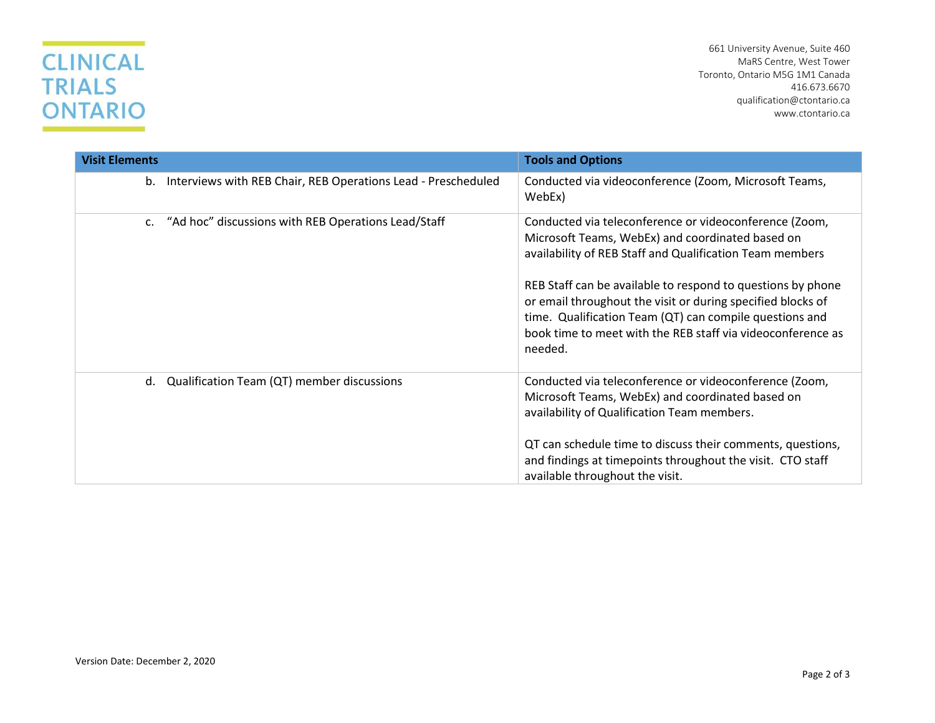## **CLINICAL TRIALS ONTARIO**

661 University Avenue, Suite 460 MaRS Centre, West Tower Toronto, Ontario M5G 1M1 Canada 416.673.6670 [qualification@ctontario.ca](mailto:qualification@ctontario.ca) www.ctontario.ca

| <b>Visit Elements</b>                                            | <b>Tools and Options</b>                                                                                                                                                                                                                                                                                                                                                                                                                  |
|------------------------------------------------------------------|-------------------------------------------------------------------------------------------------------------------------------------------------------------------------------------------------------------------------------------------------------------------------------------------------------------------------------------------------------------------------------------------------------------------------------------------|
| b. Interviews with REB Chair, REB Operations Lead - Prescheduled | Conducted via videoconference (Zoom, Microsoft Teams,<br>WebEx)                                                                                                                                                                                                                                                                                                                                                                           |
| c. "Ad hoc" discussions with REB Operations Lead/Staff           | Conducted via teleconference or videoconference (Zoom,<br>Microsoft Teams, WebEx) and coordinated based on<br>availability of REB Staff and Qualification Team members<br>REB Staff can be available to respond to questions by phone<br>or email throughout the visit or during specified blocks of<br>time. Qualification Team (QT) can compile questions and<br>book time to meet with the REB staff via videoconference as<br>needed. |
| Qualification Team (QT) member discussions<br>d.                 | Conducted via teleconference or videoconference (Zoom,<br>Microsoft Teams, WebEx) and coordinated based on<br>availability of Qualification Team members.<br>QT can schedule time to discuss their comments, questions,<br>and findings at timepoints throughout the visit. CTO staff<br>available throughout the visit.                                                                                                                  |